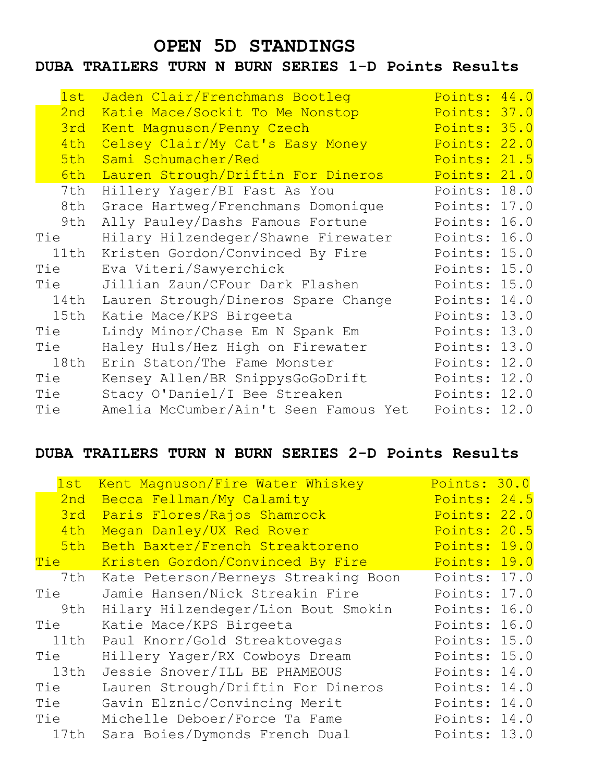# **OPEN 5D STANDINGS**

### **DUBA TRAILERS TURN N BURN SERIES 1-D Points Results**

| 1st  | Jaden Clair/Frenchmans Bootleg        | Points: 44.0 |      |
|------|---------------------------------------|--------------|------|
| 2nd  | Katie Mace/Sockit To Me Nonstop       | Points: 37.0 |      |
| 3rd  | Kent Magnuson/Penny Czech             | Points: 35.0 |      |
| 4th  | Celsey Clair/My Cat's Easy Money      | Points: 22.0 |      |
| 5th  | Sami Schumacher/Red                   | Points: 21.5 |      |
| 6th  | Lauren Strough/Driftin For Dineros    | Points: 21.0 |      |
| 7th  | Hillery Yager/BI Fast As You          | Points: 18.0 |      |
| 8th  | Grace Hartweg/Frenchmans Domonique    | Points: 17.0 |      |
| 9th  | Ally Pauley/Dashs Famous Fortune      | Points: 16.0 |      |
| Tie  | Hilary Hilzendeger/Shawne Firewater   | Points: 16.0 |      |
| 11th | Kristen Gordon/Convinced By Fire      | Points: 15.0 |      |
| Tie  | Eva Viteri/Sawyerchick                | Points: 15.0 |      |
| Tie  | Jillian Zaun/CFour Dark Flashen       | Points: 15.0 |      |
| 14th | Lauren Strough/Dineros Spare Change   | Points: 14.0 |      |
| 15th | Katie Mace/KPS Birgeeta               | Points: 13.0 |      |
| Tie  | Lindy Minor/Chase Em N Spank Em       | Points:      | 13.0 |
| Tie  | Haley Huls/Hez High on Firewater      | Points:      | 13.0 |
| 18th | Erin Staton/The Fame Monster          | Points:      | 12.0 |
| Tie  | Kensey Allen/BR SnippysGoGoDrift      | Points: 12.0 |      |
| Tie  | Stacy O'Daniel/I Bee Streaken         | Points: 12.0 |      |
| Tie  | Amelia McCumber/Ain't Seen Famous Yet | Points: 12.0 |      |

# **DUBA TRAILERS TURN N BURN SERIES 2-D Points Results**

| 1st         | Kent Magnuson/Fire Water Whiskey     | Points: 30.0 |  |
|-------------|--------------------------------------|--------------|--|
| 2nd         | Becca Fellman/My Calamity            | Points: 24.5 |  |
| 3rd         | Paris Flores/Rajos Shamrock          | Points: 22.0 |  |
| 4th         | Megan Danley/UX Red Rover            | Points: 20.5 |  |
| 5th         | Beth Baxter/French Streaktoreno      | Points: 19.0 |  |
| <u>Tie </u> | Kristen Gordon/Convinced By Fire     | Points: 19.0 |  |
| 7th         | Kate Peterson/Berneys Streaking Boon | Points: 17.0 |  |
| Tie         | Jamie Hansen/Nick Streakin Fire      | Points: 17.0 |  |
| 9th         | Hilary Hilzendeger/Lion Bout Smokin  | Points: 16.0 |  |
| Tie         | Katie Mace/KPS Birgeeta              | Points: 16.0 |  |
| 11th        | Paul Knorr/Gold Streaktovegas        | Points: 15.0 |  |
| Tie         | Hillery Yager/RX Cowboys Dream       | Points: 15.0 |  |
| 13th        | Jessie Snover/ILL BE PHAMEOUS        | Points: 14.0 |  |
| Tie         | Lauren Strough/Driftin For Dineros   | Points: 14.0 |  |
| Tie         | Gavin Elznic/Convincing Merit        | Points: 14.0 |  |
| Tie         | Michelle Deboer/Force Ta Fame        | Points: 14.0 |  |
| 17th        | Sara Boies/Dymonds French Dual       | Points: 13.0 |  |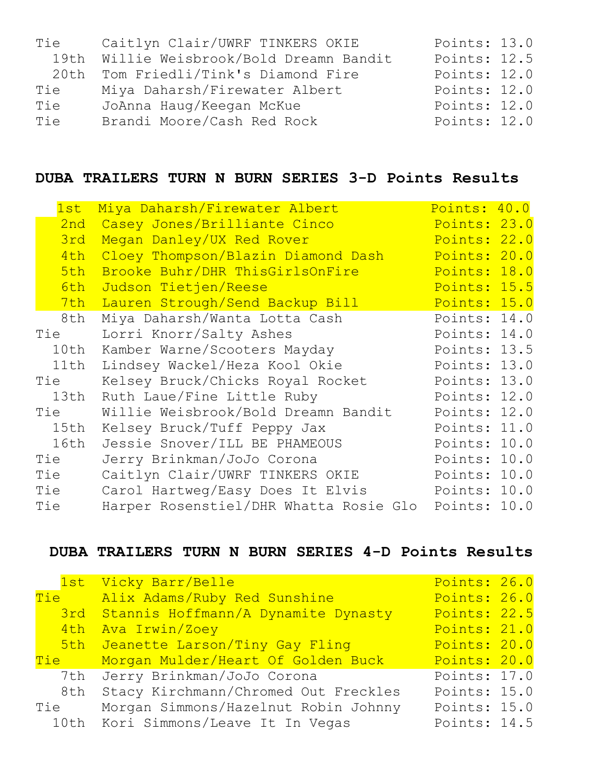| Tie  | Caitlyn Clair/UWRF TINKERS OKIE          | Points: 13.0 |
|------|------------------------------------------|--------------|
|      | 19th Willie Weisbrook/Bold Dreamn Bandit | Points: 12.5 |
| 20th | Tom Friedli/Tink's Diamond Fire          | Points: 12.0 |
| Tie  | Miya Daharsh/Firewater Albert            | Points: 12.0 |
| Tie  | JoAnna Haug/Keegan McKue                 | Points: 12.0 |
| Tie  | Brandi Moore/Cash Red Rock               | Points: 12.0 |

## **DUBA TRAILERS TURN N BURN SERIES 3-D Points Results**

| 1st  | Miya Daharsh/Firewater Albert                       | Points: 40.0 |  |
|------|-----------------------------------------------------|--------------|--|
| 2nd  | Casey Jones/Brilliante Cinco                        | Points: 23.0 |  |
| 3rd  | Megan Danley/UX Red Rover                           | Points: 22.0 |  |
| 4th  | Cloey Thompson/Blazin Diamond Dash                  | Points: 20.0 |  |
| 5th  | Brooke Buhr/DHR ThisGirlsOnFire                     | Points: 18.0 |  |
| 6th  | Judson Tietjen/Reese                                | Points: 15.5 |  |
| 7th  | Lauren Strough/Send Backup Bill                     | Points: 15.0 |  |
| 8th  | Miya Daharsh/Wanta Lotta Cash                       | Points: 14.0 |  |
| Tie  | Lorri Knorr/Salty Ashes                             | Points: 14.0 |  |
| 10th | Kamber Warne/Scooters Mayday                        | Points: 13.5 |  |
| 11th | Lindsey Wackel/Heza Kool Okie                       | Points: 13.0 |  |
| Tie  | Kelsey Bruck/Chicks Royal Rocket                    | Points: 13.0 |  |
| 13th | Ruth Laue/Fine Little Ruby                          | Points: 12.0 |  |
| Tie  | Willie Weisbrook/Bold Dreamn Bandit                 | Points: 12.0 |  |
| 15th | Kelsey Bruck/Tuff Peppy Jax                         | Points: 11.0 |  |
| 16th | Jessie Snover/ILL BE PHAMEOUS                       | Points: 10.0 |  |
| Tie  | Jerry Brinkman/JoJo Corona                          | Points: 10.0 |  |
| Tie  | Caitlyn Clair/UWRF TINKERS OKIE                     | Points: 10.0 |  |
| Tie  | Carol Hartweg/Easy Does It Elvis                    | Points: 10.0 |  |
| Tie  | Harper Rosenstiel/DHR Whatta Rosie Glo Points: 10.0 |              |  |

# **DUBA TRAILERS TURN N BURN SERIES 4-D Points Results**

|       | 1st Vicky Barr/Belle                    | Points: 26.0 |  |
|-------|-----------------------------------------|--------------|--|
|       | Tie Alix Adams/Ruby Red Sunshine        | Points: 26.0 |  |
|       | 3rd Stannis Hoffmann/A Dynamite Dynasty | Points: 22.5 |  |
| 4th   | Ava Irwin/Zoey                          | Points: 21.0 |  |
|       | 5th Jeanette Larson/Tiny Gay Fling      | Points: 20.0 |  |
| Tie T | Morgan Mulder/Heart Of Golden Buck      | Points: 20.0 |  |
|       | 7th Jerry Brinkman/JoJo Corona          | Points: 17.0 |  |
| 8th   | Stacy Kirchmann/Chromed Out Freckles    | Points: 15.0 |  |
| Tie   | Morgan Simmons/Hazelnut Robin Johnny    | Points: 15.0 |  |
|       | 10th Kori Simmons/Leave It In Vegas     | Points: 14.5 |  |